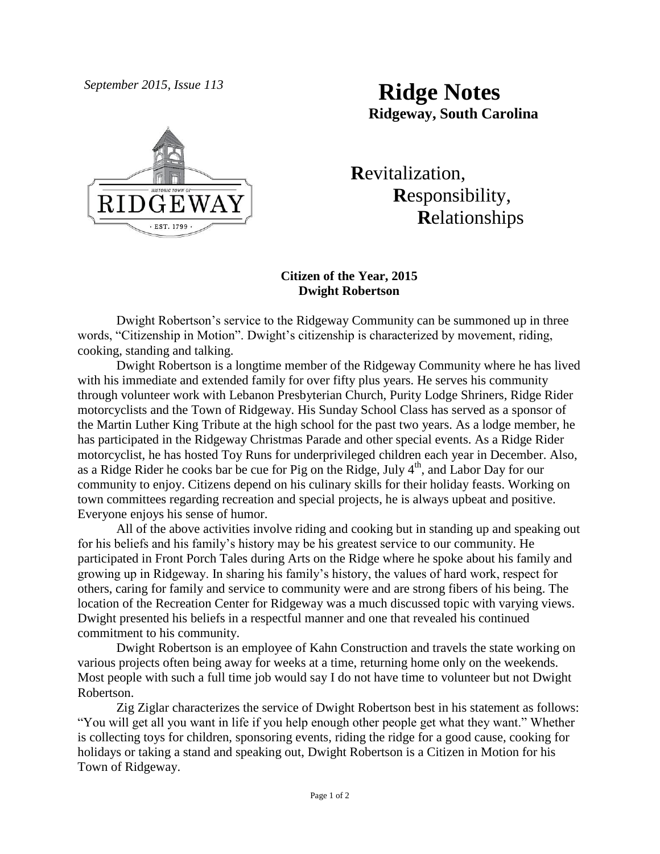*September 2015, Issue 113* **Ridge Notes Ridgeway, South Carolina**



 **R**evitalization,  **R**esponsibility,  **R**elationships

# **Citizen of the Year, 2015 Dwight Robertson**

Dwight Robertson's service to the Ridgeway Community can be summoned up in three words, "Citizenship in Motion". Dwight's citizenship is characterized by movement, riding, cooking, standing and talking.

Dwight Robertson is a longtime member of the Ridgeway Community where he has lived with his immediate and extended family for over fifty plus years. He serves his community through volunteer work with Lebanon Presbyterian Church, Purity Lodge Shriners, Ridge Rider motorcyclists and the Town of Ridgeway. His Sunday School Class has served as a sponsor of the Martin Luther King Tribute at the high school for the past two years. As a lodge member, he has participated in the Ridgeway Christmas Parade and other special events. As a Ridge Rider motorcyclist, he has hosted Toy Runs for underprivileged children each year in December. Also, as a Ridge Rider he cooks bar be cue for Pig on the Ridge, July  $4<sup>th</sup>$ , and Labor Day for our community to enjoy. Citizens depend on his culinary skills for their holiday feasts. Working on town committees regarding recreation and special projects, he is always upbeat and positive. Everyone enjoys his sense of humor.

All of the above activities involve riding and cooking but in standing up and speaking out for his beliefs and his family's history may be his greatest service to our community. He participated in Front Porch Tales during Arts on the Ridge where he spoke about his family and growing up in Ridgeway. In sharing his family's history, the values of hard work, respect for others, caring for family and service to community were and are strong fibers of his being. The location of the Recreation Center for Ridgeway was a much discussed topic with varying views. Dwight presented his beliefs in a respectful manner and one that revealed his continued commitment to his community.

Dwight Robertson is an employee of Kahn Construction and travels the state working on various projects often being away for weeks at a time, returning home only on the weekends. Most people with such a full time job would say I do not have time to volunteer but not Dwight Robertson.

Zig Ziglar characterizes the service of Dwight Robertson best in his statement as follows: "You will get all you want in life if you help enough other people get what they want." Whether is collecting toys for children, sponsoring events, riding the ridge for a good cause, cooking for holidays or taking a stand and speaking out, Dwight Robertson is a Citizen in Motion for his Town of Ridgeway.